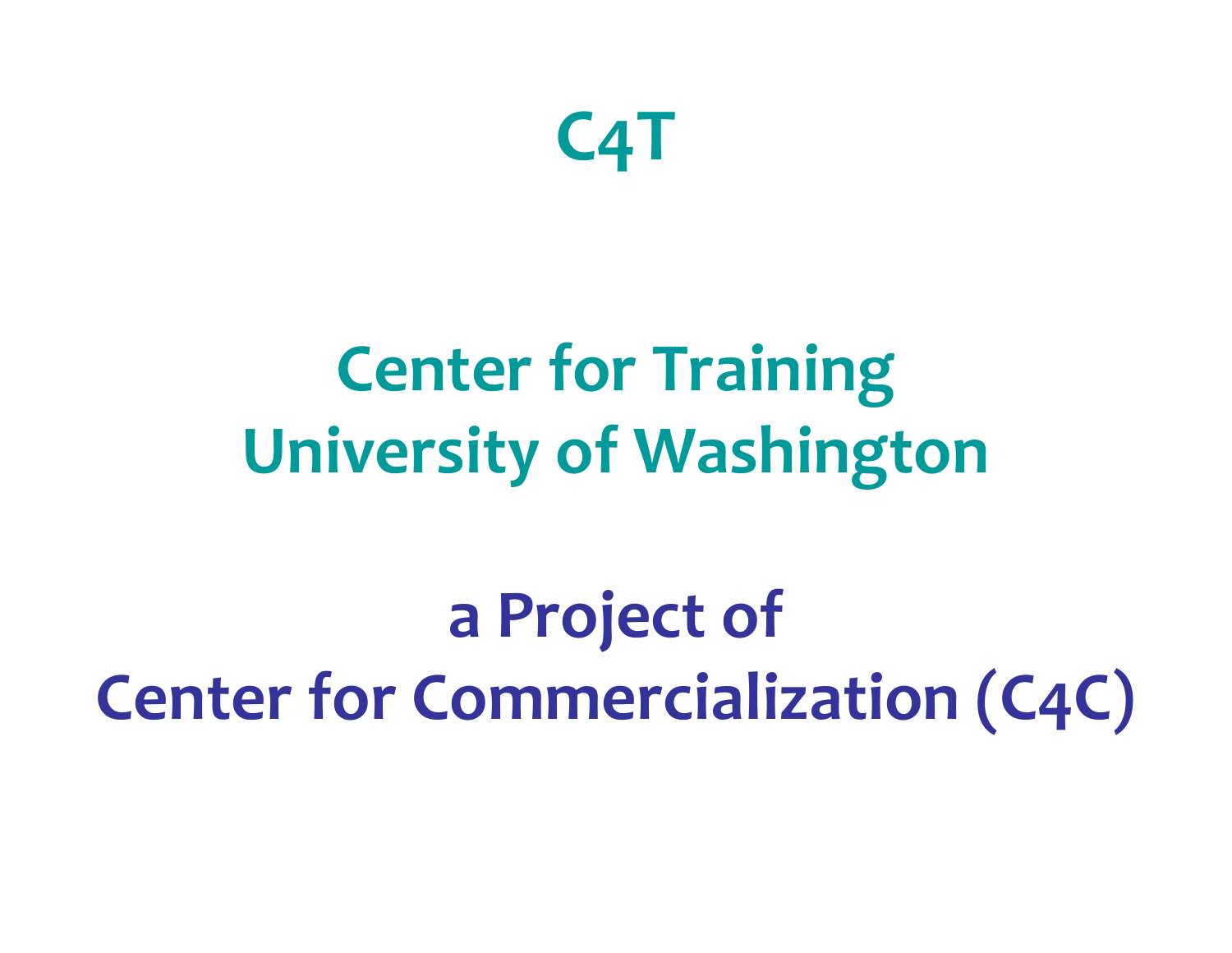

### **Center for Training University of Washington**

**a Project of Center for Commercialization (C4C)**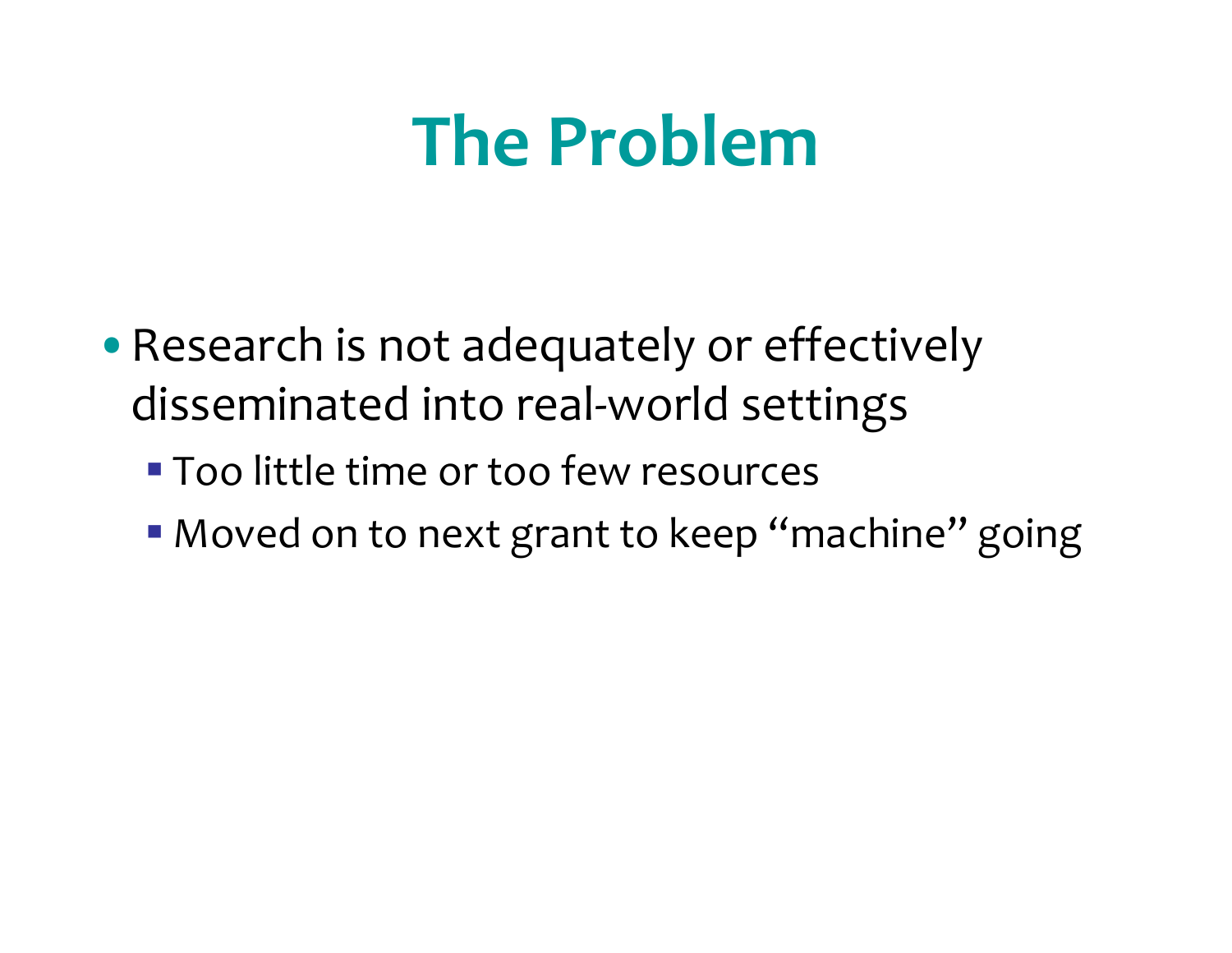- •Research is not adequately or effectively disseminated into real‐world settings
	- Too little time or too few resources
	- Moved on to next grant to keep "machine" going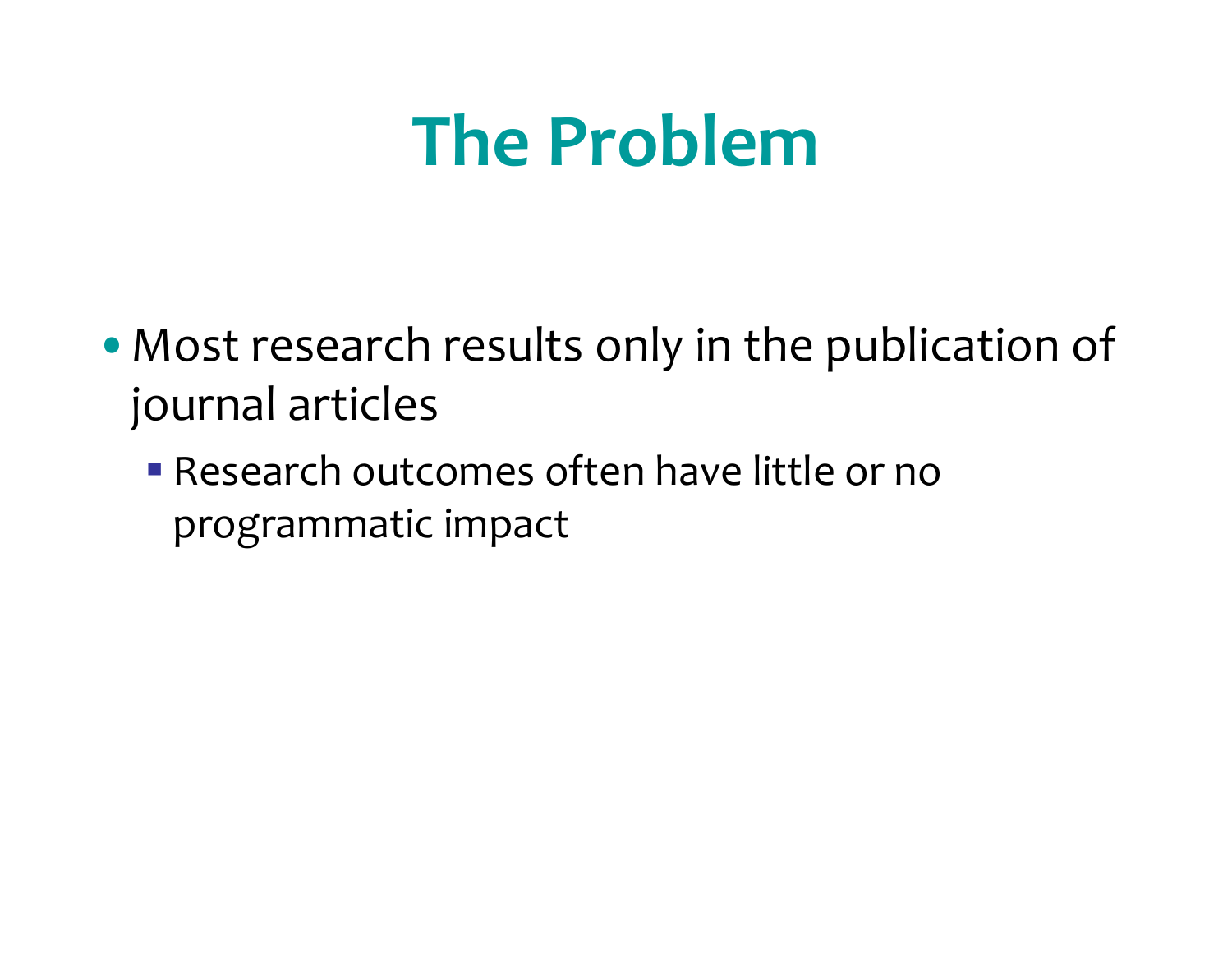- Most research results only in the publication of journal articles
	- Research outcomes often have little or noprogrammatic impact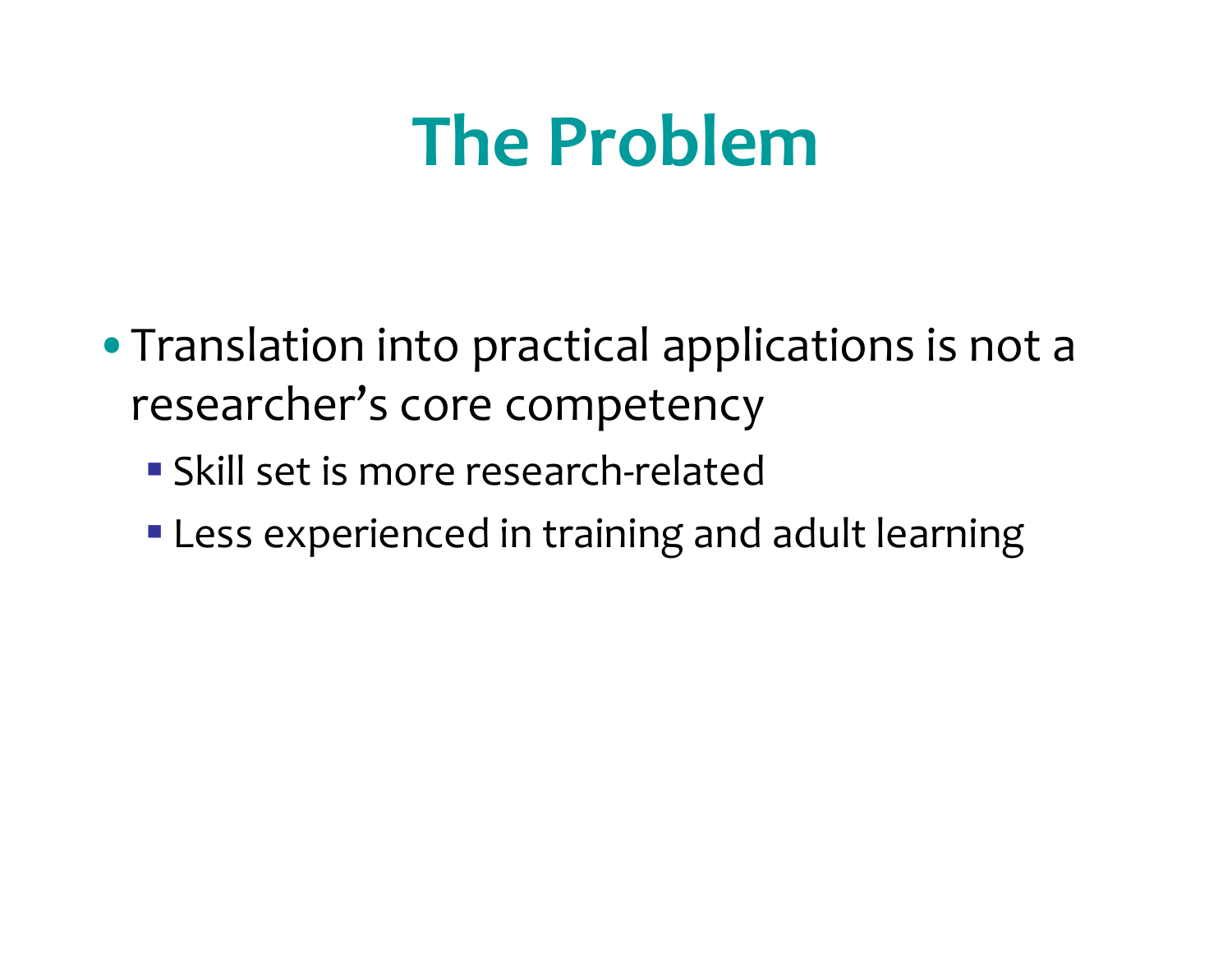- Translation into practical applications is not a researcher's core competency
	- Skill set is more research-related
	- Less experienced in training and adult learning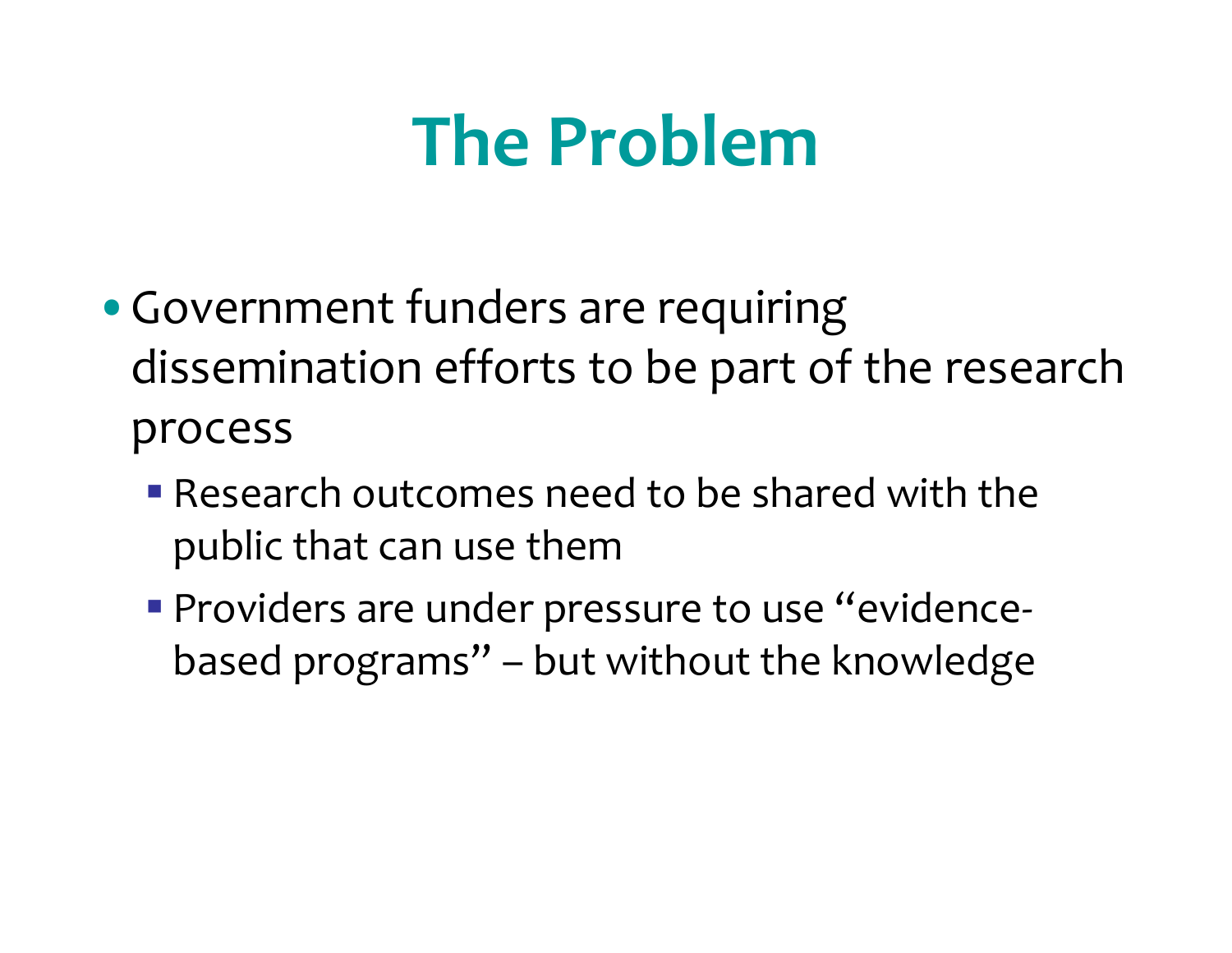- •Government funders are requiring dissemination efforts to be par<sup>t</sup> of the research process
	- Research outcomes need to be shared with the public that can use them
	- Providers are under pressure to use "evidencebased programs" – but without the knowledge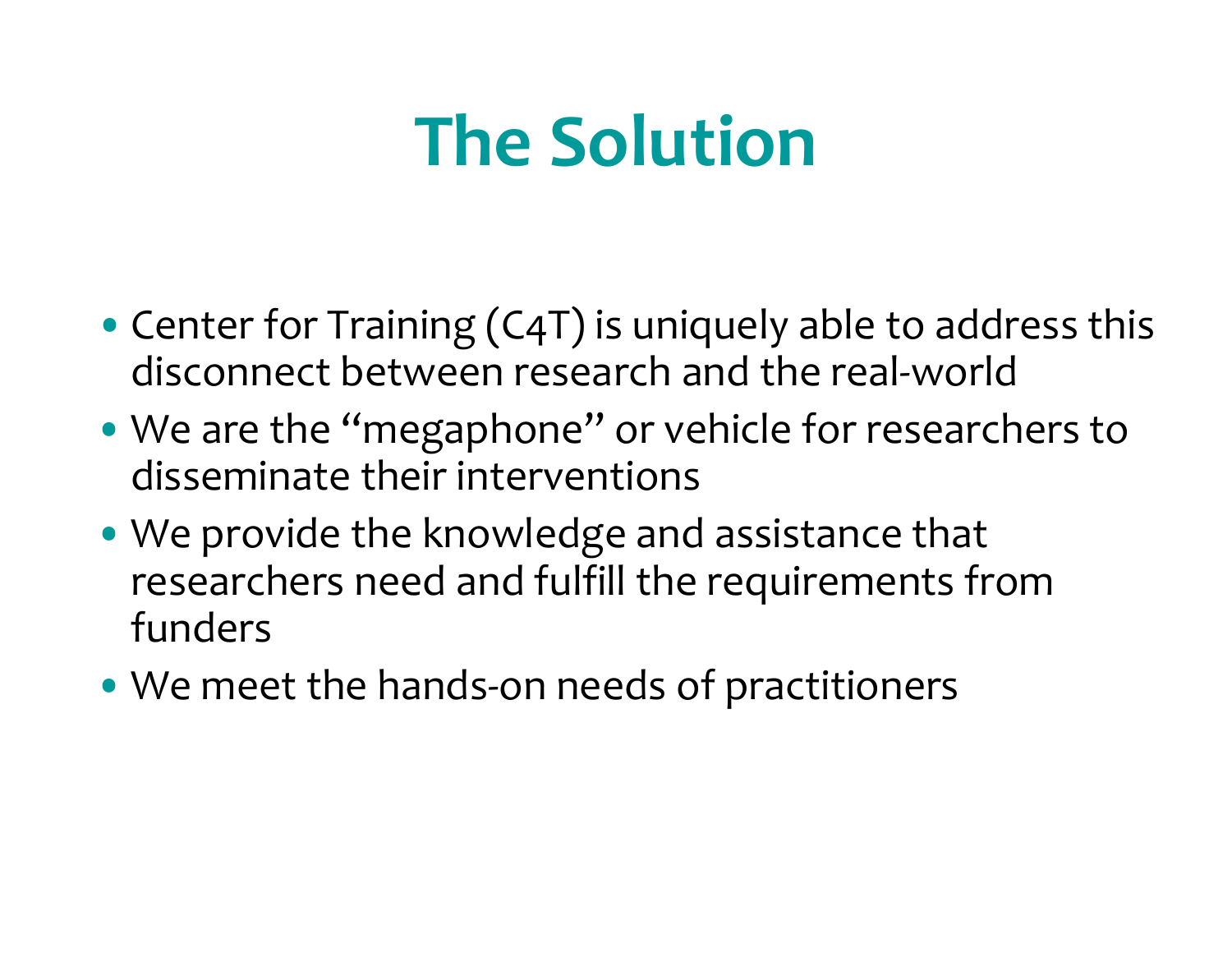# **The Solution**

- •Center for Training (C4T) is uniquely able to address this disconnect between research and the real‐world
- We are the "megaphone" or vehicle for researchers to disseminate their interventions
- We provide the knowledge and assistance that researchers need and fulfill the requirements from funders
- We meet the hands‐on needs of practitioners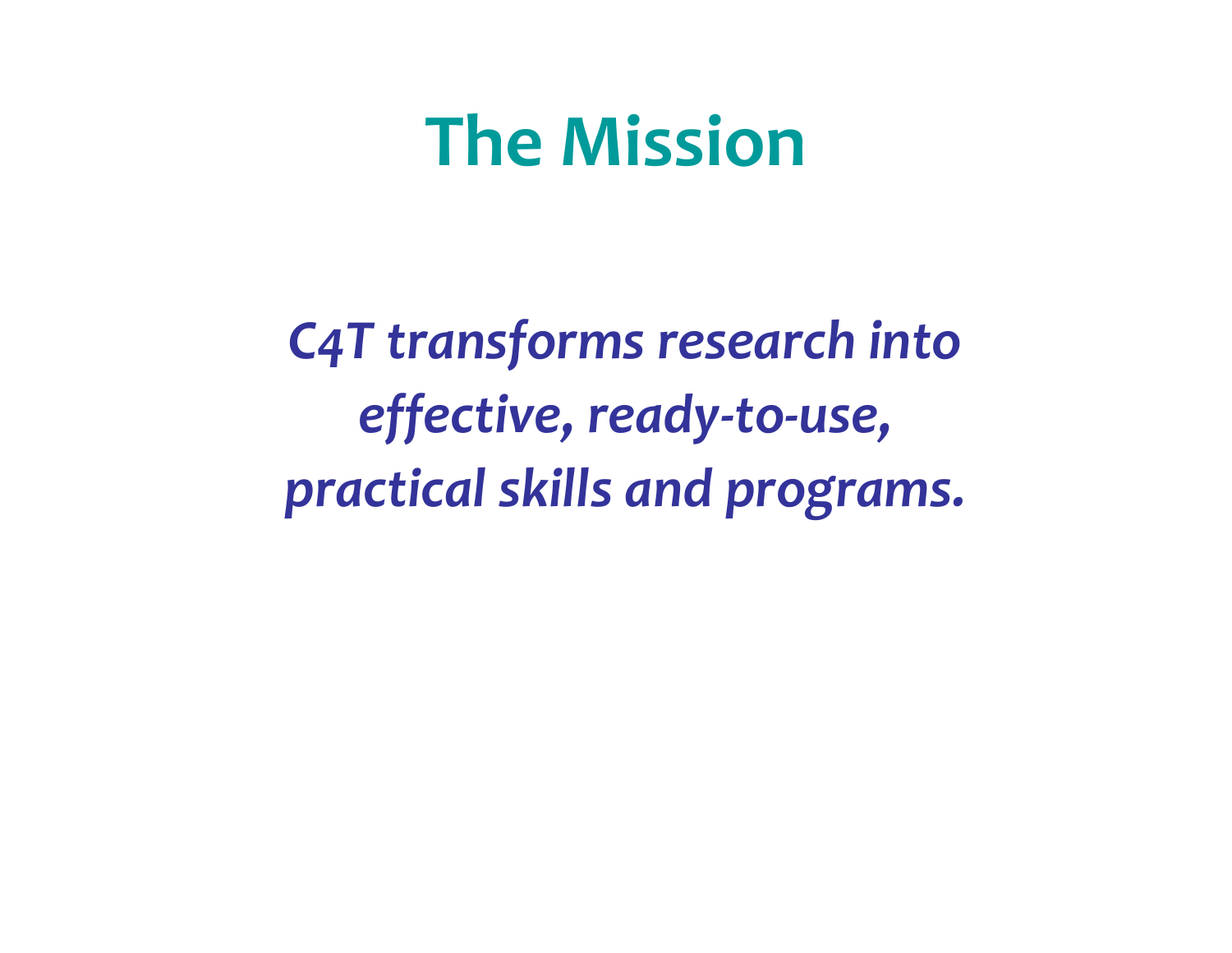### **The Mission**

*C4T transforms research into effective, ready‐to‐use, practical skills and programs.*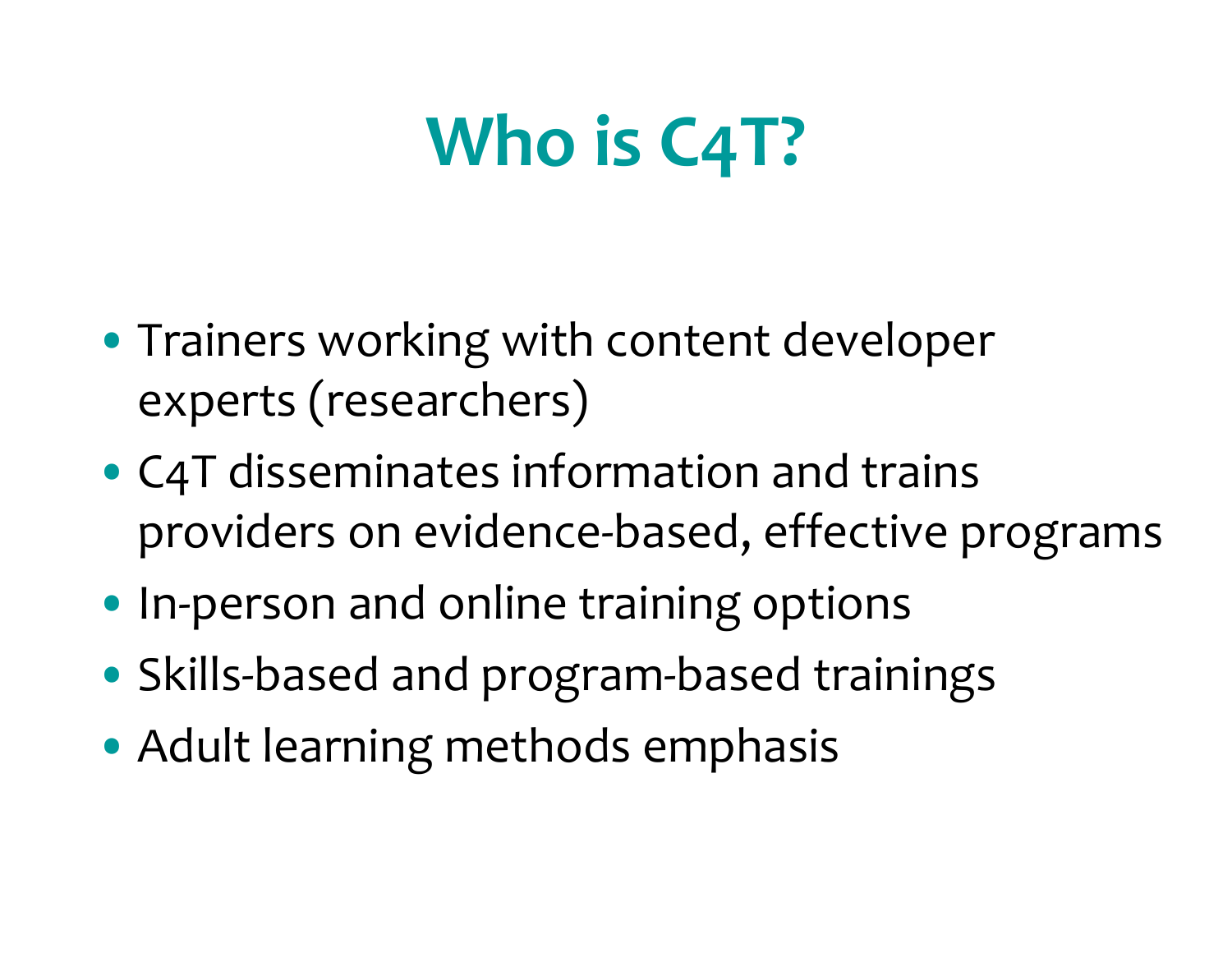# **Who is C4T?**

- Trainers working with content developer experts (researchers)
- C4T disseminates information and trains providers on evidence‐based, effective programs
- In‐person and online training options
- Skills‐based and program‐based trainings
- Adult learning methods emphasis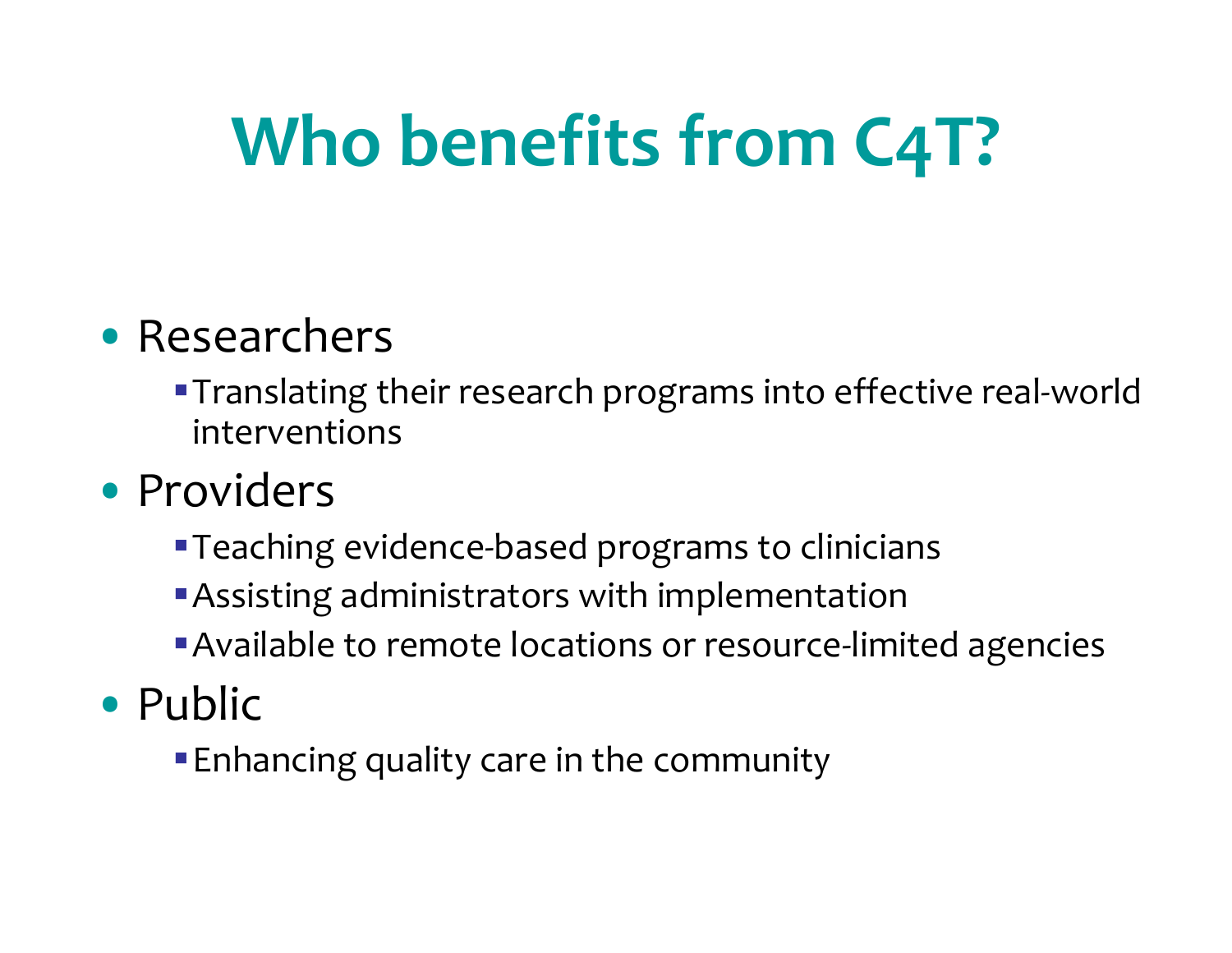# **Who benefits from C4T?**

#### • Researchers

■ Translating their research programs into effective real-world interventions

#### • Providers

- Teaching evidence-based programs to clinicians
- Assisting administrators with implementation
- ■Available to remote locations or resource-limited agencies
- Public
	- Enhancing quality care in the community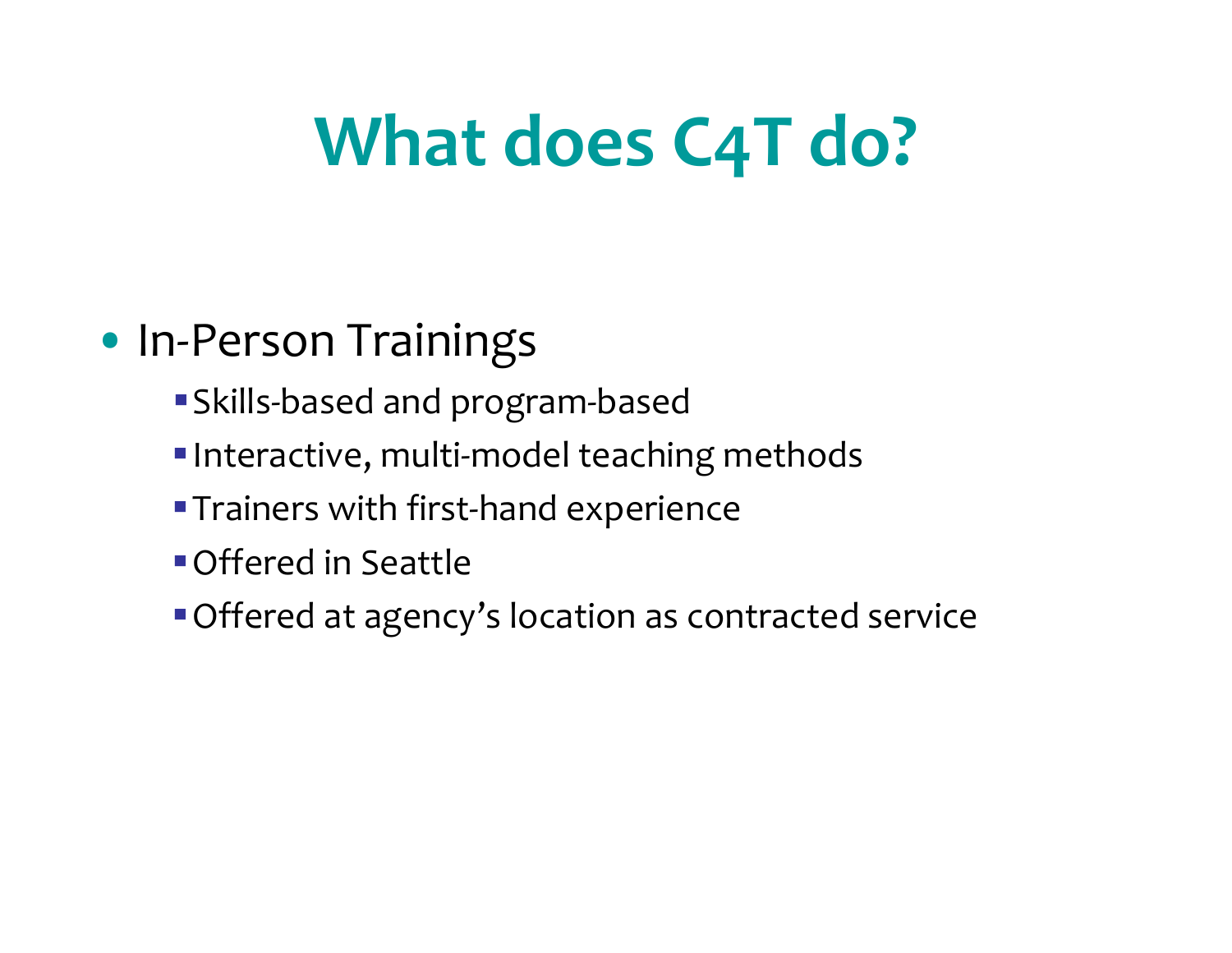# **What does C4T do?**

#### • In‐Person Trainings

- Skills‐based and program‐based
- ■Interactive, multi-model teaching methods
- ■Trainers with first-hand experience
- Offered in Seattle
- Offered at agency's location as contracted service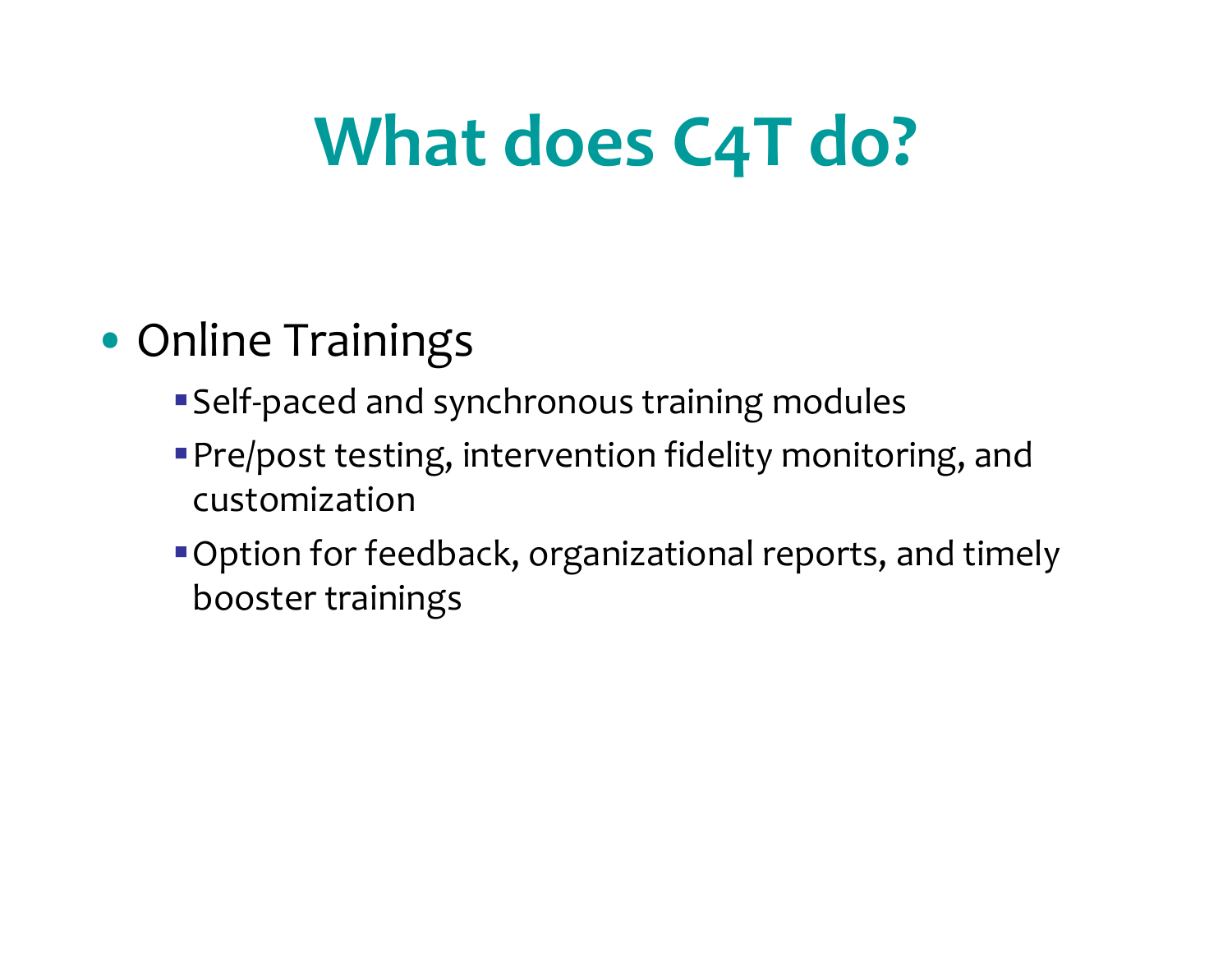# **What does C4T do?**

### • Online Trainings

- Self-paced and synchronous training modules
- Pre/post testing, intervention fidelity monitoring, and customization
- Option for feedback, organizational reports, and timely booster trainings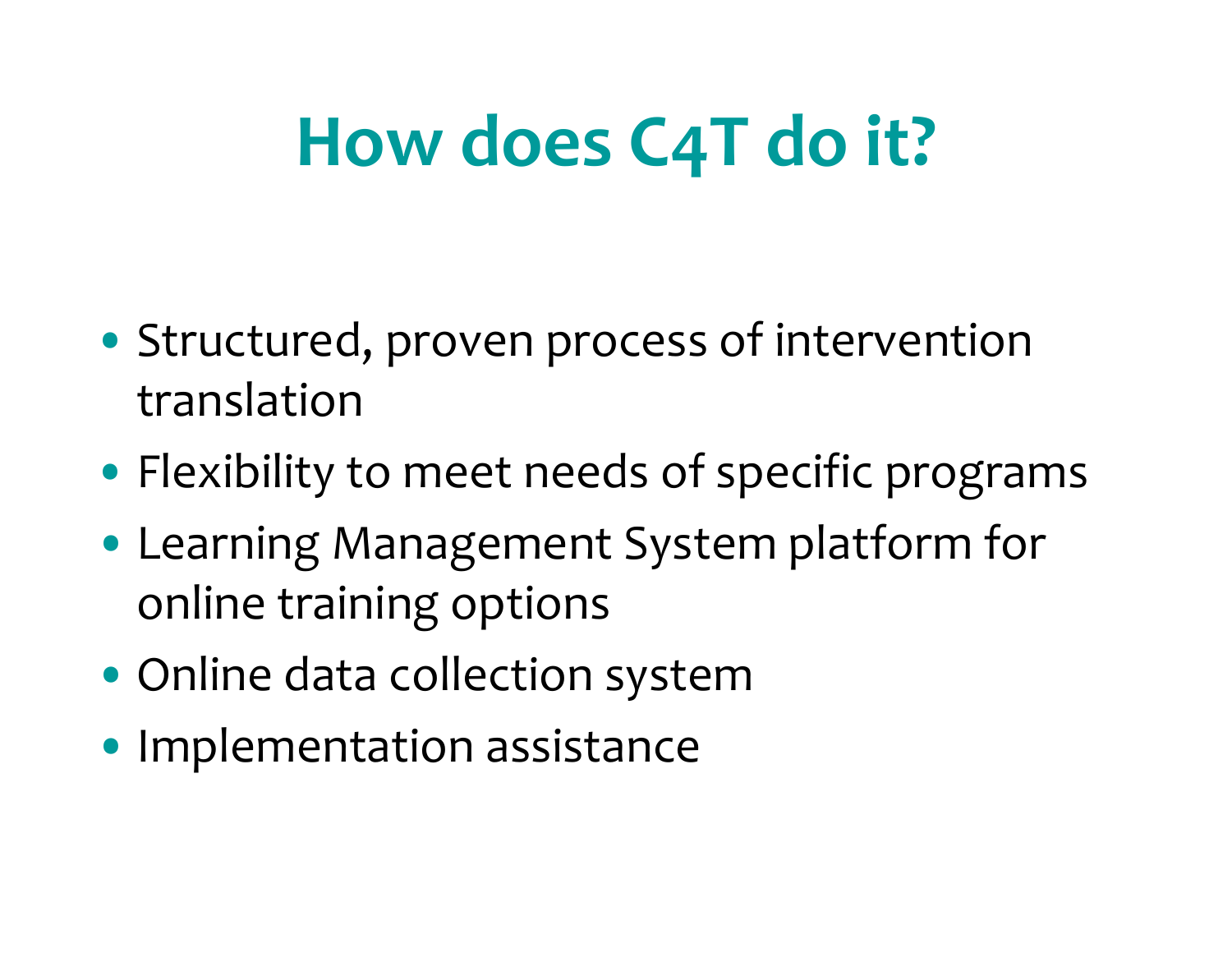# **How does C4T do it?**

- Structured, proven process of intervention translation
- Flexibility to meet needs of specific programs
- Learning Management System platform for online training options
- Online data collection system
- Implementation assistance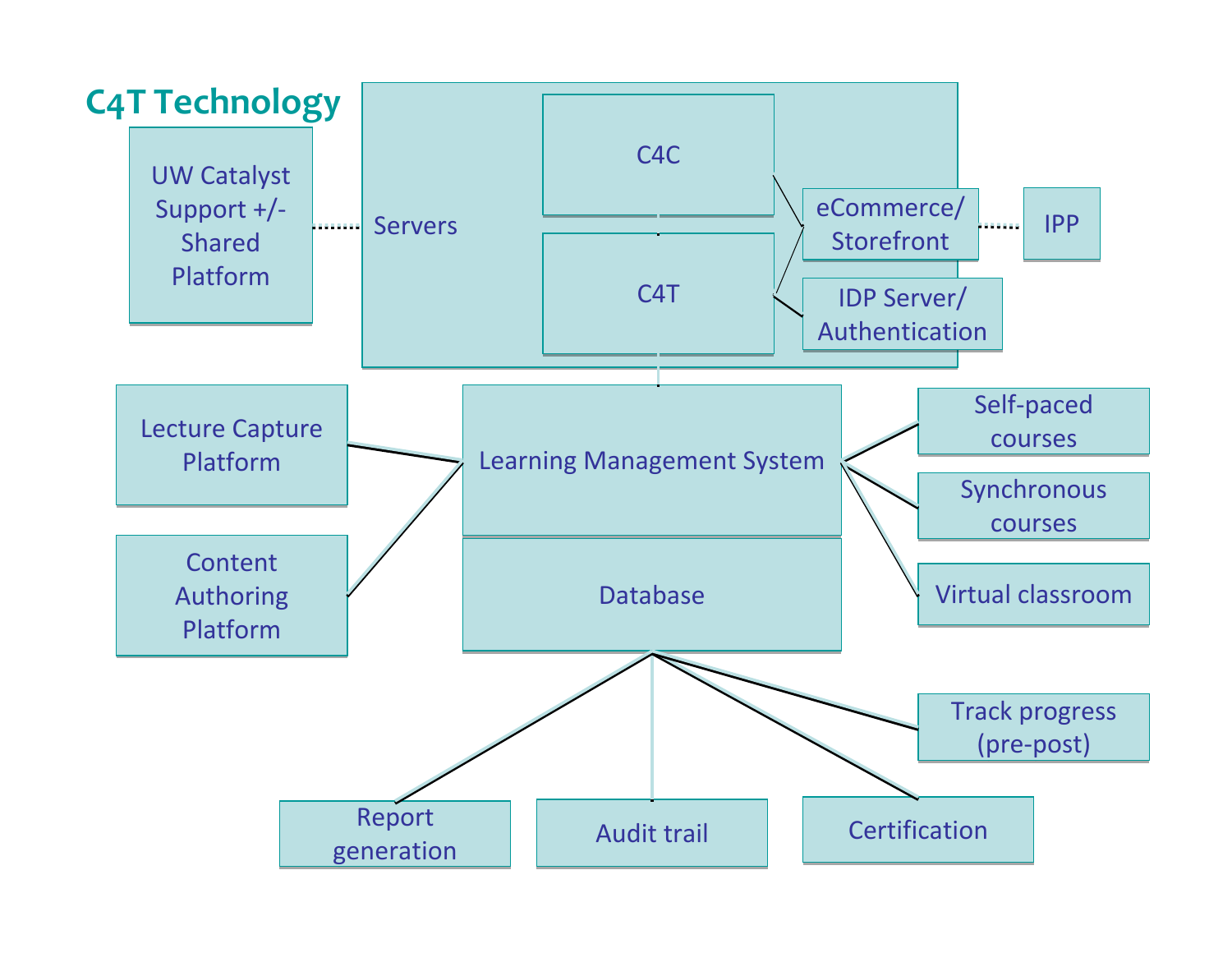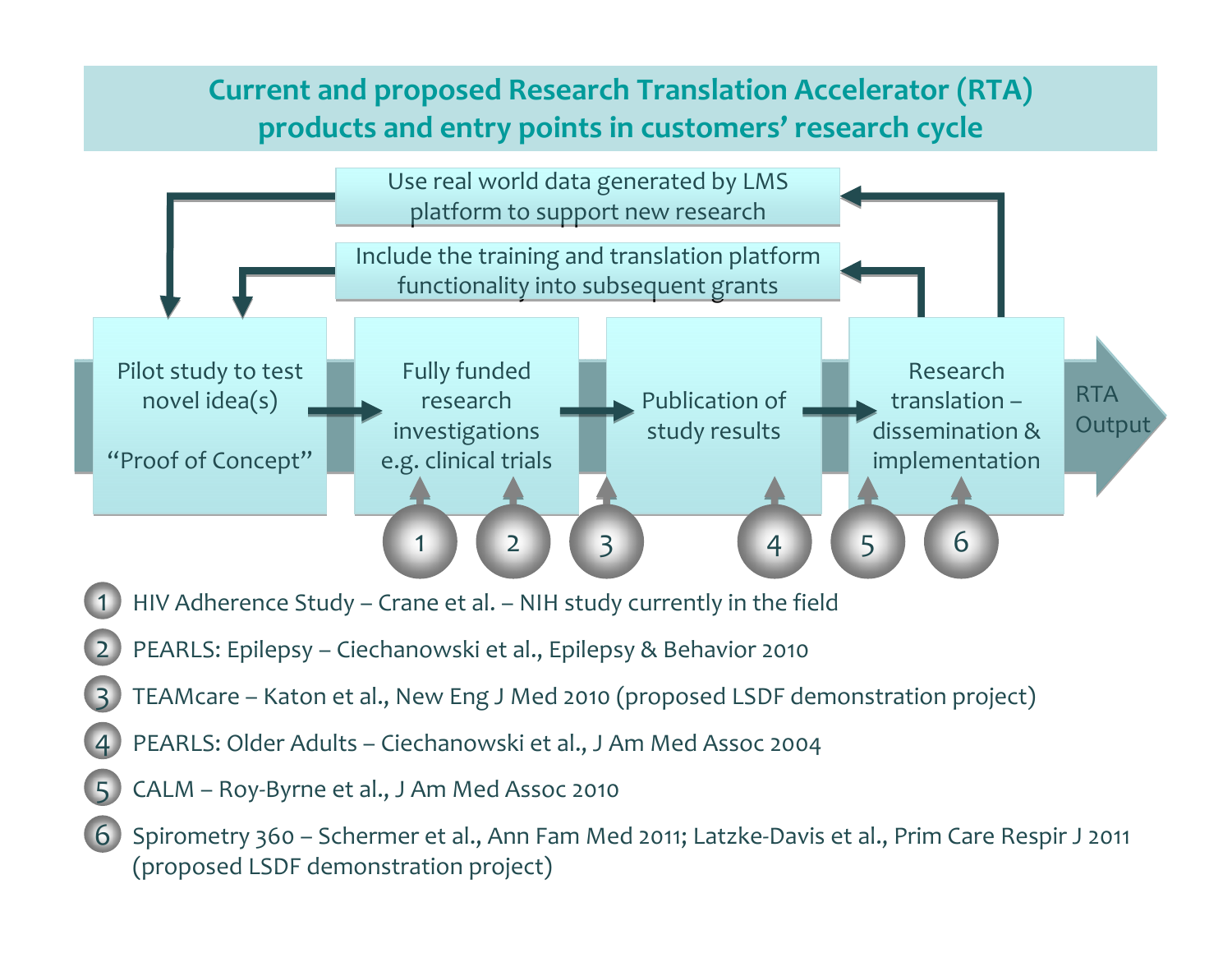#### **Current and proposed Research Translation Accelerator (RTA) products and entry points in customers' research cycle**



CALM – Roy‐Byrne et al., J Am Med Assoc <sup>2010</sup>

5

6 Spirometry 360 – Schermer et al., Ann Fam Med 2011; Latzke‐Davis et al., Prim Care Respir J <sup>2011</sup> (proposed LSDF demonstration project)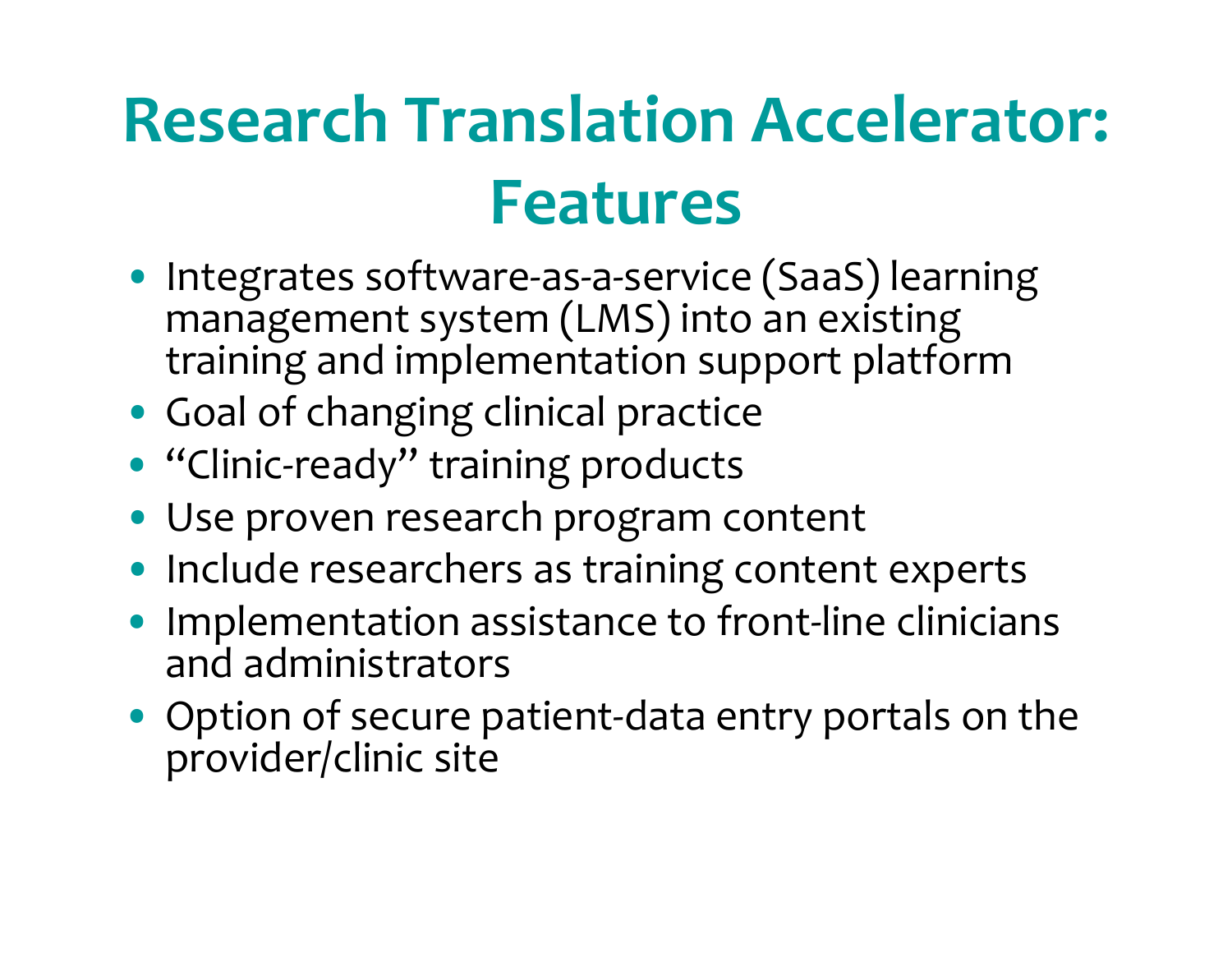### **Research Translation Accelerator: Features**

- Integrates software‐as‐a‐service (SaaS) learning management system (LMS) into an existing training and implementation suppor<sup>t</sup> platform
- Goal of changing clinical practice
- "Clinic‐ready" training products
- Use proven research program content
- Include researchers as training content experts
- Implementation assistance to front-line clinicians and administrators
- Option of secure patient‐data entry portals on the provider/clinic site